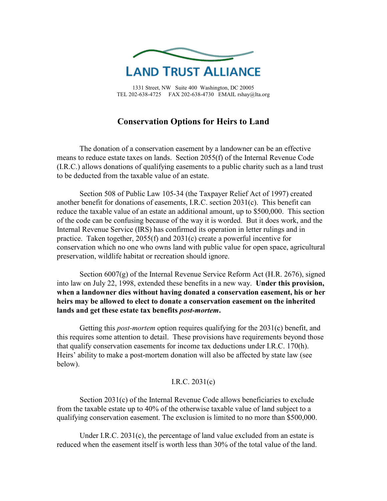

1331 Street, NW Suite 400 Washington, DC 20005 TEL 202-638-4725 FAX 202-638-4730 EMAIL rshay@lta.org

# **Conservation Options for Heirs to Land**

 The donation of a conservation easement by a landowner can be an effective means to reduce estate taxes on lands. Section 2055(f) of the Internal Revenue Code (I.R.C.) allows donations of qualifying easements to a public charity such as a land trust to be deducted from the taxable value of an estate.

 Section 508 of Public Law 105-34 (the Taxpayer Relief Act of 1997) created another benefit for donations of easements, I.R.C. section 2031(c). This benefit can reduce the taxable value of an estate an additional amount, up to \$500,000. This section of the code can be confusing because of the way it is worded. But it does work, and the Internal Revenue Service (IRS) has confirmed its operation in letter rulings and in practice. Taken together, 2055(f) and 2031(c) create a powerful incentive for conservation which no one who owns land with public value for open space, agricultural preservation, wildlife habitat or recreation should ignore.

Section  $6007(g)$  of the Internal Revenue Service Reform Act (H.R. 2676), signed into law on July 22, 1998, extended these benefits in a new way. **Under this provision, when a landowner dies without having donated a conservation easement, his or her heirs may be allowed to elect to donate a conservation easement on the inherited lands and get these estate tax benefits** *post-mortem***.** 

 Getting this *post-mortem* option requires qualifying for the 2031(c) benefit, and this requires some attention to detail. These provisions have requirements beyond those that qualify conservation easements for income tax deductions under I.R.C. 170(h). Heirs' ability to make a post-mortem donation will also be affected by state law (see below).

## I.R.C. 2031(c)

 Section 2031(c) of the Internal Revenue Code allows beneficiaries to exclude from the taxable estate up to 40% of the otherwise taxable value of land subject to a qualifying conservation easement. The exclusion is limited to no more than \$500,000.

Under I.R.C. 2031(c), the percentage of land value excluded from an estate is reduced when the easement itself is worth less than 30% of the total value of the land.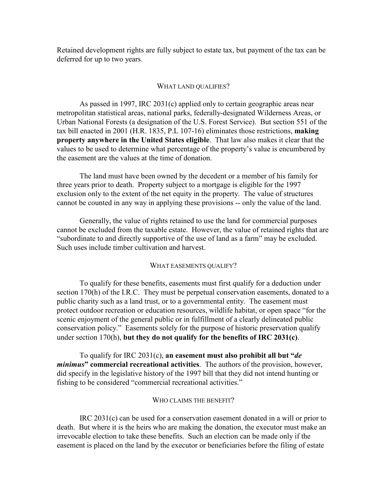Retained development rights are fully subject to estate tax, but payment of the tax can be deferred for up to two years.

#### WHAT LAND QUALIFIES?

 As passed in 1997, IRC 2031(c) applied only to certain geographic areas near metropolitan statistical areas, national parks, federally-designated Wilderness Areas, or Urban National Forests (a designation of the U.S. Forest Service). But section 551 of the tax bill enacted in 2001 (H.R. 1835, P.L 107-16) eliminates those restrictions, **making property anywhere in the United States eligible**. That law also makes it clear that the values to be used to determine what percentage of the property's value is encumbered by the easement are the values at the time of donation.

 The land must have been owned by the decedent or a member of his family for three years prior to death. Property subject to a mortgage is eligible for the 1997 exclusion only to the extent of the net equity in the property. The value of structures cannot be counted in any way in applying these provisions -- only the value of the land.

 Generally, the value of rights retained to use the land for commercial purposes cannot be excluded from the taxable estate. However, the value of retained rights that are "subordinate to and directly supportive of the use of land as a farm" may be excluded. Such uses include timber cultivation and harvest.

#### WHAT EASEMENTS QUALIFY?

 To qualify for these benefits, easements must first qualify for a deduction under section 170(h) of the I.R.C. They must be perpetual conservation easements, donated to a public charity such as a land trust, or to a governmental entity. The easement must protect outdoor recreation or education resources, wildlife habitat, or open space "for the scenic enjoyment of the general public or in fulfillment of a clearly delineated public conservation policy." Easements solely for the purpose of historic preservation qualify under section 170(h), **but they do not qualify for the benefits of IRC 2031(c)**.

 To qualify for IRC 2031(c), **an easement must also prohibit all but "***de minimus***" commercial recreational activities**. The authors of the provision, however, did specify in the legislative history of the 1997 bill that they did not intend hunting or fishing to be considered "commercial recreational activities."

### WHO CLAIMS THE BENEFIT?

 IRC 2031(c) can be used for a conservation easement donated in a will or prior to death. But where it is the heirs who are making the donation, the executor must make an irrevocable election to take these benefits. Such an election can be made only if the easement is placed on the land by the executor or beneficiaries before the filing of estate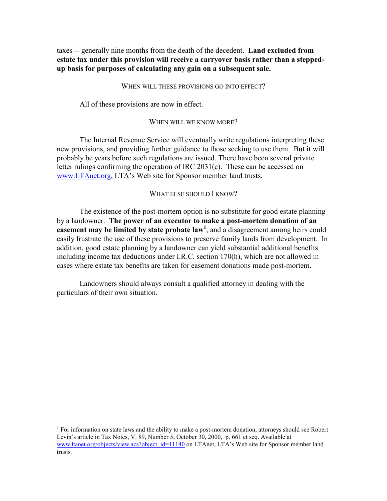taxes -- generally nine months from the death of the decedent. **Land excluded from estate tax under this provision will receive a carryover basis rather than a steppedup basis for purposes of calculating any gain on a subsequent sale.**

#### WHEN WILL THESE PROVISIONS GO INTO EFFECT?

All of these provisions are now in effect.

### WHEN WILL WE KNOW MORE?

 The Internal Revenue Service will eventually write regulations interpreting these new provisions, and providing further guidance to those seeking to use them. But it will probably be years before such regulations are issued. There have been several private letter rulings confirming the operation of IRC 2031(c). These can be accessed on www.LTAnet.org, LTA's Web site for Sponsor member land trusts.

## WHAT ELSE SHOULD I KNOW?

 The existence of the post-mortem option is no substitute for good estate planning by a landowner. **The power of an executor to make a post-mortem donation of an easement may be limited by state probate law<sup>1</sup>** , and a disagreement among heirs could easily frustrate the use of these provisions to preserve family lands from development. In addition, good estate planning by a landowner can yield substantial additional benefits including income tax deductions under I.R.C. section 170(h), which are not allowed in cases where estate tax benefits are taken for easement donations made post-mortem.

 Landowners should always consult a qualified attorney in dealing with the particulars of their own situation.

<sup>&</sup>lt;sup>1</sup> For information on state laws and the ability to make a post-mortem donation, attorneys should see Robert Levin's article in Tax Notes, V. 89, Number 5, October 30, 2000, p. 661 et seq. Available at www.ltanet.org/objects/view.acs?object\_id=11140 on LTAnet, LTA's Web site for Sponsor member land trusts.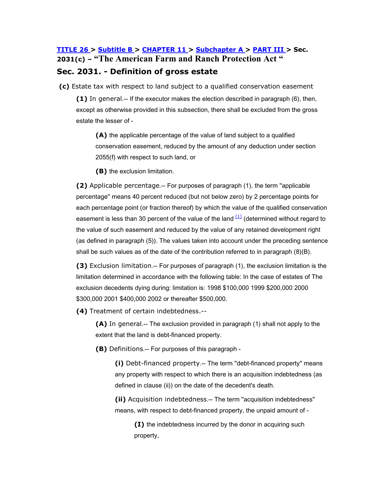## **TITLE 26 > Subtitle B > CHAPTER 11 > Subchapter A > PART III > Sec. 2031(c) – "The American Farm and Ranch Protection Act " Sec. 2031. - Definition of gross estate**

 **(c)** Estate tax with respect to land subject to a qualified conservation easement

**(1)** In general.-- If the executor makes the election described in paragraph (6), then, except as otherwise provided in this subsection, there shall be excluded from the gross estate the lesser of -

**(A)** the applicable percentage of the value of land subject to a qualified conservation easement, reduced by the amount of any deduction under section 2055(f) with respect to such land, or

**(B)** the exclusion limitation.

**(2)** Applicable percentage.-- For purposes of paragraph (1), the term ''applicable percentage'' means 40 percent reduced (but not below zero) by 2 percentage points for each percentage point (or fraction thereof) by which the value of the qualified conservation easement is less than 30 percent of the value of the land  $[1]$  (determined without regard to the value of such easement and reduced by the value of any retained development right (as defined in paragraph (5)). The values taken into account under the preceding sentence shall be such values as of the date of the contribution referred to in paragraph (8)(B).

**(3)** Exclusion limitation.-- For purposes of paragraph (1), the exclusion limitation is the limitation determined in accordance with the following table: In the case of estates of The exclusion decedents dying during: limitation is: 1998 \$100,000 1999 \$200,000 2000 \$300,000 2001 \$400,000 2002 or thereafter \$500,000.

**(4)** Treatment of certain indebtedness.--

**(A)** In general.-- The exclusion provided in paragraph (1) shall not apply to the extent that the land is debt-financed property.

**(B)** Definitions.-- For purposes of this paragraph -

**(i)** Debt-financed property.-- The term ''debt-financed property'' means any property with respect to which there is an acquisition indebtedness (as defined in clause (ii)) on the date of the decedent's death.

**(ii)** Acquisition indebtedness.-- The term ''acquisition indebtedness'' means, with respect to debt-financed property, the unpaid amount of -

**(I)** the indebtedness incurred by the donor in acquiring such property,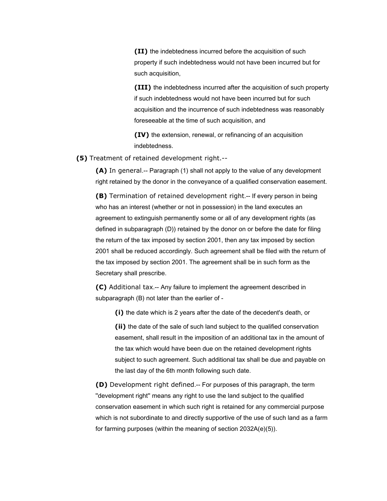**(II)** the indebtedness incurred before the acquisition of such property if such indebtedness would not have been incurred but for such acquisition,

**(III)** the indebtedness incurred after the acquisition of such property if such indebtedness would not have been incurred but for such acquisition and the incurrence of such indebtedness was reasonably foreseeable at the time of such acquisition, and

**(IV)** the extension, renewal, or refinancing of an acquisition indebtedness.

**(5)** Treatment of retained development right.--

**(A)** In general.-- Paragraph (1) shall not apply to the value of any development right retained by the donor in the conveyance of a qualified conservation easement.

**(B)** Termination of retained development right.-- If every person in being who has an interest (whether or not in possession) in the land executes an agreement to extinguish permanently some or all of any development rights (as defined in subparagraph (D)) retained by the donor on or before the date for filing the return of the tax imposed by section 2001, then any tax imposed by section 2001 shall be reduced accordingly. Such agreement shall be filed with the return of the tax imposed by section 2001. The agreement shall be in such form as the Secretary shall prescribe.

**(C)** Additional tax.-- Any failure to implement the agreement described in subparagraph (B) not later than the earlier of -

**(i)** the date which is 2 years after the date of the decedent's death, or

**(ii)** the date of the sale of such land subject to the qualified conservation easement, shall result in the imposition of an additional tax in the amount of the tax which would have been due on the retained development rights subject to such agreement. Such additional tax shall be due and payable on the last day of the 6th month following such date.

**(D)** Development right defined.-- For purposes of this paragraph, the term ''development right'' means any right to use the land subject to the qualified conservation easement in which such right is retained for any commercial purpose which is not subordinate to and directly supportive of the use of such land as a farm for farming purposes (within the meaning of section 2032A(e)(5)).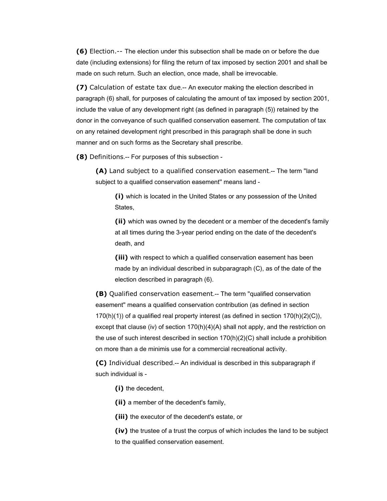**(6)** Election.-- The election under this subsection shall be made on or before the due date (including extensions) for filing the return of tax imposed by section 2001 and shall be made on such return. Such an election, once made, shall be irrevocable.

**(7)** Calculation of estate tax due.-- An executor making the election described in paragraph (6) shall, for purposes of calculating the amount of tax imposed by section 2001, include the value of any development right (as defined in paragraph (5)) retained by the donor in the conveyance of such qualified conservation easement. The computation of tax on any retained development right prescribed in this paragraph shall be done in such manner and on such forms as the Secretary shall prescribe.

**(8)** Definitions.-- For purposes of this subsection -

**(A)** Land subject to a qualified conservation easement.-- The term ''land subject to a qualified conservation easement'' means land -

**(i)** which is located in the United States or any possession of the United States,

**(ii)** which was owned by the decedent or a member of the decedent's family at all times during the 3-year period ending on the date of the decedent's death, and

**(iii)** with respect to which a qualified conservation easement has been made by an individual described in subparagraph (C), as of the date of the election described in paragraph (6).

**(B)** Qualified conservation easement.-- The term ''qualified conservation easement'' means a qualified conservation contribution (as defined in section 170(h)(1)) of a qualified real property interest (as defined in section 170(h)(2)(C)), except that clause (iv) of section 170(h)(4)(A) shall not apply, and the restriction on the use of such interest described in section  $170(h)(2)(C)$  shall include a prohibition on more than a de minimis use for a commercial recreational activity.

**(C)** Individual described.-- An individual is described in this subparagraph if such individual is -

**(i)** the decedent,

**(ii)** a member of the decedent's family,

**(iii)** the executor of the decedent's estate, or

**(iv)** the trustee of a trust the corpus of which includes the land to be subject to the qualified conservation easement.